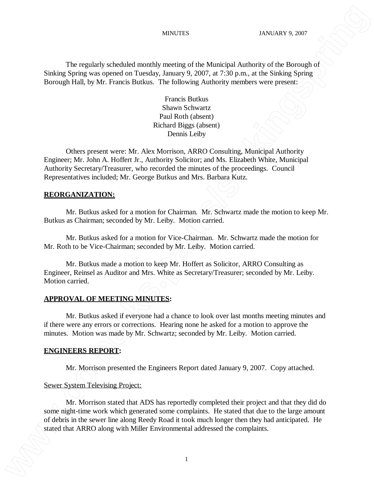The regularly scheduled monthly meeting of the Municipal Authority of the Borough of Sinking Spring was opened on Tuesday, January 9, 2007, at 7:30 p.m., at the Sinking Spring Borough Hall, by Mr. Francis Butkus. The following Authority members were present:

> Francis Butkus Shawn Schwartz Paul Roth (absent) Richard Biggs (absent) Dennis Leiby

Others present were: Mr. Alex Morrison, ARRO Consulting, Municipal Authority Engineer; Mr. John A. Hoffert Jr., Authority Solicitor; and Ms. Elizabeth White, Municipal Authority Secretary/Treasurer, who recorded the minutes of the proceedings. Council Representatives included; Mr. George Butkus and Mrs. Barbara Kutz.

## **REORGANIZATION:**

Mr. Butkus asked for a motion for Chairman. Mr. Schwartz made the motion to keep Mr. Butkus as Chairman; seconded by Mr. Leiby. Motion carried.

Mr. Butkus asked for a motion for Vice-Chairman. Mr. Schwartz made the motion for Mr. Roth to be Vice-Chairman; seconded by Mr. Leiby. Motion carried.

Mr. Butkus made a motion to keep Mr. Hoffert as Solicitor, ARRO Consulting as Engineer, Reinsel as Auditor and Mrs. White as Secretary/Treasurer; seconded by Mr. Leiby. Motion carried.

#### **APPROVAL OF MEETING MINUTES:**

Mr. Butkus asked if everyone had a chance to look over last months meeting minutes and if there were any errors or corrections. Hearing none he asked for a motion to approve the minutes. Motion was made by Mr. Schwartz; seconded by Mr. Leiby. Motion carried.

#### **ENGINEERS REPORT:**

Mr. Morrison presented the Engineers Report dated January 9, 2007. Copy attached.

#### Sewer System Televising Project:

Mr. Morrison stated that ADS has reportedly completed their project and that they did do some night-time work which generated some complaints. He stated that due to the large amount of debris in the sewer line along Reedy Road it took much longer then they had anticipated. He stated that ARRO along with Miller that ARRO along the complete that ARRO along with Miller Environmental and ARRO along the complete that ARRO along the complete the complete the complete the complete the complete the com

1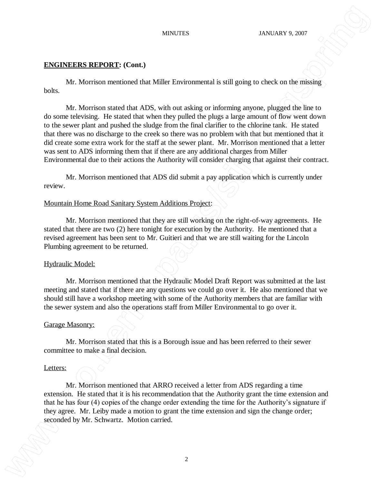## **ENGINEERS REPORT: (Cont.)**

Mr. Morrison mentioned that Miller Environmental is still going to check on the missing bolts.

Mr. Morrison stated that ADS, with out asking or informing anyone, plugged the line to do some televising. He stated that when they pulled the plugs a large amount of flow went down to the sewer plant and pushed the sludge from the final clarifier to the chlorine tank. He stated that there was no discharge to the creek so there was no problem with that but mentioned that it did create some extra work for the staff at the sewer plant. Mr. Morrison mentioned that a letter was sent to ADS informing them that if there are any additional charges from Miller Environmental due to their actions the Authority will consider charging that against their contract. seconded by Architects **EVALUATION** (Seconds by Mr. Schwartz. 1987)<br> **EVALUATION EXECUTES** (Seconds from Million Construction carried to sell pring on check can be mixing<br>
to second by Architects and the Million Constrain

Mr. Morrison mentioned that ADS did submit a pay application which is currently under review.

## Mountain Home Road Sanitary System Additions Project:

Mr. Morrison mentioned that they are still working on the right-of-way agreements. He stated that there are two (2) here tonight for execution by the Authority. He mentioned that a revised agreement has been sent to Mr. Guitieri and that we are still waiting for the Lincoln Plumbing agreement to be returned.

#### Hydraulic Model:

Mr. Morrison mentioned that the Hydraulic Model Draft Report was submitted at the last meeting and stated that if there are any questions we could go over it. He also mentioned that we should still have a workshop meeting with some of the Authority members that are familiar with the sewer system and also the operations staff from Miller Environmental to go over it.

#### Garage Masonry:

Mr. Morrison stated that this is a Borough issue and has been referred to their sewer committee to make a final decision.

#### Letters:

Mr. Morrison mentioned that ARRO received a letter from ADS regarding a time extension. He stated that it is his recommendation that the Authority grant the time extension and that he has four (4) copies of the change order extending the time for the Authority's signature if they agree. Mr. Leiby made a motion to grant the time extension and sign the change order;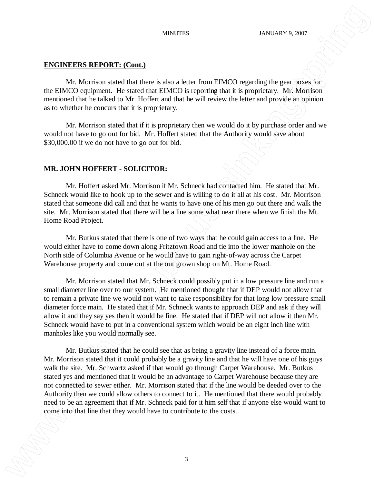## **ENGINEERS REPORT: (Cont.)**

Mr. Morrison stated that there is also a letter from EIMCO regarding the gear boxes for the EIMCO equipment. He stated that EIMCO is reporting that it is proprietary. Mr. Morrison mentioned that he talked to Mr. Hoffert and that he will review the letter and provide an opinion as to whether he concurs that it is proprietary.

Mr. Morrison stated that if it is proprietary then we would do it by purchase order and we would not have to go out for bid. Mr. Hoffert stated that the Authority would save about \$30,000.00 if we do not have to go out for bid.

# **MR. JOHN HOFFERT - SOLICITOR:**

Mr. Hoffert asked Mr. Morrison if Mr. Schneck had contacted him. He stated that Mr. Schneck would like to hook up to the sewer and is willing to do it all at his cost. Mr. Morrison stated that someone did call and that he wants to have one of his men go out there and walk the site. Mr. Morrison stated that there will be a line some what near there when we finish the Mt. Home Road Project.

Mr. Butkus stated that there is one of two ways that he could gain access to a line. He would either have to come down along Fritztown Road and tie into the lower manhole on the North side of Columbia Avenue or he would have to gain right-of-way across the Carpet Warehouse property and come out at the out grown shop on Mt. Home Road.

Mr. Morrison stated that Mr. Schneck could possibly put in a low pressure line and run a small diameter line over to our system. He mentioned thought that if DEP would not allow that to remain a private line we would not want to take responsibility for that long low pressure small diameter force main. He stated that if Mr. Schneck wants to approach DEP and ask if they will allow it and they say yes then it would be fine. He stated that if DEP will not allow it then Mr. Schneck would have to put in a conventional system which would be an eight inch line with manholes like you would normally see.

Mr. Butkus stated that he could see that as being a gravity line instead of a force main. Mr. Morrison stated that it could probably be a gravity line and that he will have one of his guys walk the site. Mr. Schwartz asked if that would go through Carpet Warehouse. Mr. Butkus stated yes and mentioned that it would be an advantage to Carpet Warehouse because they are not connected to sewer either. Mr. Morrison stated that if the line would be deeded over to the Authority then we could allow others to connect to it. He mentioned that there would probably need to be an agreement that if Mr. Schneck paid for it him self that if anyone else would want to comes **EXACUTERY:** Costs. **EXACUTERY:** Costs. **We are the contribute to the contribute to the contribute to the contribute to the contribute to the contribute to the contribute to the contribute to the contribute to the c**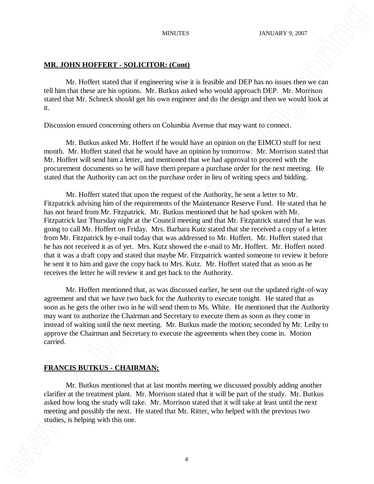## **MR. JOHN HOFFERT - SOLICITOR: (Cont)**

Mr. Hoffert stated that if engineering wise it is feasible and DEP has no issues then we can tell him that these are his options. Mr. Butkus asked who would approach DEP. Mr. Morrison stated that Mr. Schneck should get his own engineer and do the design and then we would look at it.

Discussion ensued concerning others on Columbia Avenue that may want to connect.

Mr. Butkus asked Mr. Hoffert if he would have an opinion on the EIMCO stuff for next month. Mr. Hoffert stated that he would have an opinion by tomorrow. Mr. Morrison stated that Mr. Hoffert will send him a letter, and mentioned that we had approval to proceed with the procurement documents so he will have them prepare a purchase order for the next meeting. He stated that the Authority can act on the purchase order in lieu of writing specs and bidding.

Mr. Hoffert stated that upon the request of the Authority, he sent a letter to Mr. Fitzpatrick advising him of the requirements of the Maintenance Reserve Fund. He stated that he has not heard from Mr. Fitzpatrick. Mr. Butkus mentioned that he had spoken with Mr. Fitzpatrick last Thursday night at the Council meeting and that Mr. Fitzpatrick stated that he was going to call Mr. Hoffert on Friday. Mrs. Barbara Kutz stated that she received a copy of a letter from Mr. Fitzpatrick by e-mail today that was addressed to Mr. Hoffert. Mr. Hoffert stated that he has not received it as of yet. Mrs. Kutz showed the e-mail to Mr. Hoffert. Mr. Hoffert noted that it was a draft copy and stated that maybe Mr. Fitzpatrick wanted someone to review it before he sent it to him and gave the copy back to Mrs. Kutz. Mr. Hoffert stated that as soon as he receives the letter he will review it and get back to the Authority. studies of the matter of the matter of the matter of the matter of the matter of the matter of the matter of the matter of the matter of the matter of the matter of the matter of the matter of the matter of the matter of t

Mr. Hoffert mentioned that, as was discussed earlier, he sent out the updated right-of-way agreement and that we have two back for the Authority to execute tonight. He stated that as soon as he gets the other two in he will send them to Ms. White. He mentioned that the Authority may want to authorize the Chairman and Secretary to execute them as soon as they come in instead of waiting until the next meeting. Mr. Butkus made the motion; seconded by Mr. Leiby to approve the Chairman and Secretary to execute the agreements when they come in. Motion carried.

## **FRANCIS BUTKUS - CHAIRMAN:**

Mr. Butkus mentioned that at last months meeting we discussed possibly adding another clarifier at the treatment plant. Mr. Morrison stated that it will be part of the study. Mr. Butkus asked how long the study will take. Mr. Morrison stated that it will take at least until the next meeting and possibly the next. He stated that Mr. Ritter, who helped with the previous two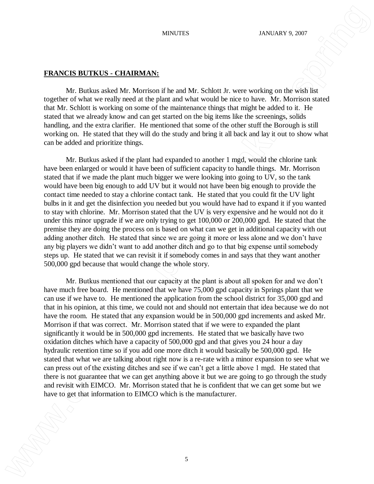## **FRANCIS BUTKUS - CHAIRMAN:**

Mr. Butkus asked Mr. Morrison if he and Mr. Schlott Jr. were working on the wish list together of what we really need at the plant and what would be nice to have. Mr. Morrison stated that Mr. Schlott is working on some of the maintenance things that might be added to it. He stated that we already know and can get started on the big items like the screenings, solids handling, and the extra clarifier. He mentioned that some of the other stuff the Borough is still working on. He stated that they will do the study and bring it all back and lay it out to show what can be added and prioritize things.

Mr. Butkus asked if the plant had expanded to another 1 mgd, would the chlorine tank have been enlarged or would it have been of sufficient capacity to handle things. Mr. Morrison stated that if we made the plant much bigger we were looking into going to UV, so the tank would have been big enough to add UV but it would not have been big enough to provide the contact time needed to stay a chlorine contact tank. He stated that you could fit the UV light bulbs in it and get the disinfection you needed but you would have had to expand it if you wanted to stay with chlorine. Mr. Morrison stated that the UV is very expensive and he would not do it under this minor upgrade if we are only trying to get 100,000 or 200,000 gpd. He stated that the premise they are doing the process on is based on what can we get in additional capacity with out adding another ditch. He stated that since we are going it more or less alone and we don't have any big players we didn't want to add another ditch and go to that big expense until somebody steps up. He stated that we can revisit it if somebody comes in and says that they want another 500,000 gpd because that would change the whole story.

Mr. Butkus mentioned that our capacity at the plant is about all spoken for and we don't have much free board. He mentioned that we have 75,000 gpd capacity in Springs plant that we can use if we have to. He mentioned the application from the school district for 35,000 gpd and that in his opinion, at this time, we could not and should not entertain that idea because we do not have the room. He stated that any expansion would be in 500,000 gpd increments and asked Mr. Morrison if that was correct. Mr. Morrison stated that if we were to expanded the plant significantly it would be in 500,000 gpd increments. He stated that we basically have two oxidation ditches which have a capacity of 500,000 gpd and that gives you 24 hour a day hydraulic retention time so if you add one more ditch it would basically be 500,000 gpd. He stated that what we are talking about right now is a re-rate with a minor expansion to see what we can press out of the existing ditches and see if we can't get a little above 1 mgd. He stated that there is not guarantee that we can get anything above it but we are going to go through the study and revisit with EIMCO. Mr. Morrison stated that he is confident that we can get some but we have the state of the state of the state of the state of the state of the state of the manufacturer. The state of the state of the state of the manufacturer. The manufacturer is the manufacturer of the manufacturer is the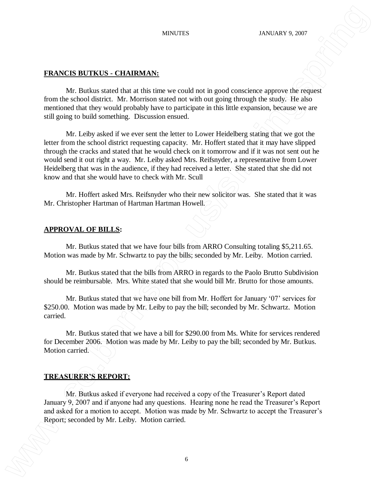## **FRANCIS BUTKUS - CHAIRMAN:**

Mr. Butkus stated that at this time we could not in good conscience approve the request from the school district. Mr. Morrison stated not with out going through the study. He also mentioned that they would probably have to participate in this little expansion, because we are still going to build something. Discussion ensued.

Mr. Leiby asked if we ever sent the letter to Lower Heidelberg stating that we got the letter from the school district requesting capacity. Mr. Hoffert stated that it may have slipped through the cracks and stated that he would check on it tomorrow and if it was not sent out he would send it out right a way. Mr. Leiby asked Mrs. Reifsnyder, a representative from Lower Heidelberg that was in the audience, if they had received a letter. She stated that she did not know and that she would have to check with Mr. Scull EXAMELY **EXAMEDIATE CONDUCTER**<br>
NET USE CONDUCT THE CONDUCT CONDUCT CONDUCT CONDUCT CONDUCT CONDUCT CONDUCT CONDUCT CONDUCT CONDUCT CONDUCT CONDUCT CONDUCT CONDUCT CONDUCT CONDUCT CONDUCT CONDUCT CONDUCT CONDUCT CONDUCT C

Mr. Hoffert asked Mrs. Reifsnyder who their new solicitor was. She stated that it was Mr. Christopher Hartman of Hartman Hartman Howell.

### **APPROVAL OF BILLS:**

Mr. Butkus stated that we have four bills from ARRO Consulting totaling \$5,211.65. Motion was made by Mr. Schwartz to pay the bills; seconded by Mr. Leiby. Motion carried.

Mr. Butkus stated that the bills from ARRO in regards to the Paolo Brutto Subdivision should be reimbursable. Mrs. White stated that she would bill Mr. Brutto for those amounts.

Mr. Butkus stated that we have one bill from Mr. Hoffert for January '07' services for \$250.00. Motion was made by Mr. Leiby to pay the bill; seconded by Mr. Schwartz. Motion carried.

Mr. Butkus stated that we have a bill for \$290.00 from Ms. White for services rendered for December 2006. Motion was made by Mr. Leiby to pay the bill; seconded by Mr. Butkus. Motion carried.

# **TREASURER'S REPORT:**

Mr. Butkus asked if everyone had received a copy of the Treasurer's Report dated January 9, 2007 and if anyone had any questions. Hearing none he read the Treasurer's Report and asked for a motion to accept. Motion was made by Mr. Schwartz to accept the Treasurer's